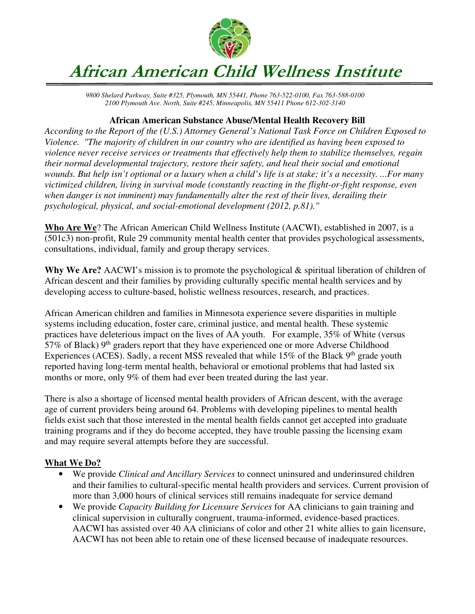

## **African American Child Wellness Institute**

*9800 Shelard Parkway, Suite #325, Plymouth, MN 55441, Phone 763-522-0100, Fax 763-588-0100 2100 Plymouth Ave. North, Suite #245, Minneapolis, MN 55411 Phone 612-302-3140* 

## **African American Substance Abuse/Mental Health Recovery Bill**

*According to the Report of the (U.S.) Attorney General's National Task Force on Children Exposed to Violence. "The majority of children in our country who are identified as having been exposed to violence never receive services or treatments that effectively help them to stabilize themselves, regain their normal developmental trajectory, restore their safety, and heal their social and emotional wounds. But help isn't optional or a luxury when a child's life is at stake; it's a necessity. ...For many victimized children, living in survival mode (constantly reacting in the flight-or-fight response, even when danger is not imminent) may fundamentally alter the rest of their lives, derailing their psychological, physical, and social-emotional development (2012, p.81)."* 

**Who Are We**? The African American Child Wellness Institute (AACWI), established in 2007, is a (501c3) non-profit, Rule 29 community mental health center that provides psychological assessments, consultations, individual, family and group therapy services.

**Why We Are?** AACWI's mission is to promote the psychological & spiritual liberation of children of African descent and their families by providing culturally specific mental health services and by developing access to culture-based, holistic wellness resources, research, and practices.

African American children and families in Minnesota experience severe disparities in multiple systems including education, foster care, criminal justice, and mental health. These systemic practices have deleterious impact on the lives of AA youth. For example, 35% of White (versus 57% of Black)  $9<sup>th</sup>$  graders report that they have experienced one or more Adverse Childhood Experiences (ACES). Sadly, a recent MSS revealed that while  $15\%$  of the Black 9<sup>th</sup> grade youth reported having long-term mental health, behavioral or emotional problems that had lasted six months or more, only 9% of them had ever been treated during the last year.

There is also a shortage of licensed mental health providers of African descent, with the average age of current providers being around 64. Problems with developing pipelines to mental health fields exist such that those interested in the mental health fields cannot get accepted into graduate training programs and if they do become accepted, they have trouble passing the licensing exam and may require several attempts before they are successful.

## **What We Do?**

- We provide *Clinical and Ancillary Services* to connect uninsured and underinsured children and their families to cultural-specific mental health providers and services. Current provision of more than 3,000 hours of clinical services still remains inadequate for service demand
- We provide *Capacity Building for Licensure Services* for AA clinicians to gain training and clinical supervision in culturally congruent, trauma-informed, evidence-based practices. AACWI has assisted over 40 AA clinicians of color and other 21 white allies to gain licensure, AACWI has not been able to retain one of these licensed because of inadequate resources.